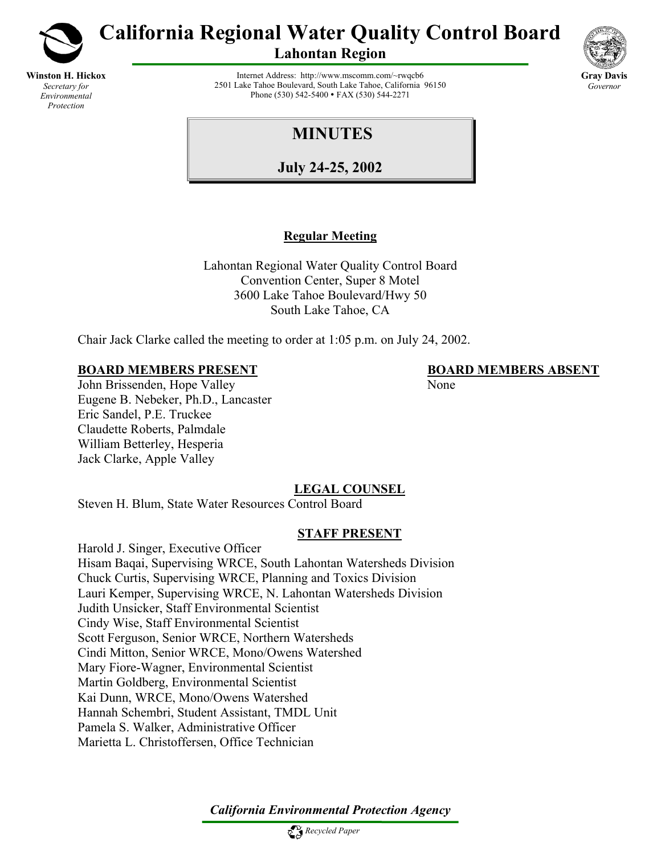

**Winston H. Hickox** *Secretary for Environmental Protection*

**California Regional Water Quality Control Board** 

**Lahontan Region** 



Internet Address: http://www.mscomm.com/~rwqcb6 2501 Lake Tahoe Boulevard, South Lake Tahoe, California 96150 Phone (530) 542-5400 • FAX (530) 544-2271

# **MINUTES**

**July 24-25, 2002**

# **Regular Meeting**

Lahontan Regional Water Quality Control Board Convention Center, Super 8 Motel 3600 Lake Tahoe Boulevard/Hwy 50 South Lake Tahoe, CA

Chair Jack Clarke called the meeting to order at 1:05 p.m. on July 24, 2002.

# **BOARD MEMBERS PRESENT BOARD MEMBERS ABSENT**

John Brissenden, Hope Valley None Eugene B. Nebeker, Ph.D., Lancaster Eric Sandel, P.E. Truckee Claudette Roberts, Palmdale William Betterley, Hesperia Jack Clarke, Apple Valley

# **LEGAL COUNSEL**

Steven H. Blum, State Water Resources Control Board

# **STAFF PRESENT**

Harold J. Singer, Executive Officer Hisam Baqai, Supervising WRCE, South Lahontan Watersheds Division Chuck Curtis, Supervising WRCE, Planning and Toxics Division Lauri Kemper, Supervising WRCE, N. Lahontan Watersheds Division Judith Unsicker, Staff Environmental Scientist Cindy Wise, Staff Environmental Scientist Scott Ferguson, Senior WRCE, Northern Watersheds Cindi Mitton, Senior WRCE, Mono/Owens Watershed Mary Fiore-Wagner, Environmental Scientist Martin Goldberg, Environmental Scientist Kai Dunn, WRCE, Mono/Owens Watershed Hannah Schembri, Student Assistant, TMDL Unit Pamela S. Walker, Administrative Officer Marietta L. Christoffersen, Office Technician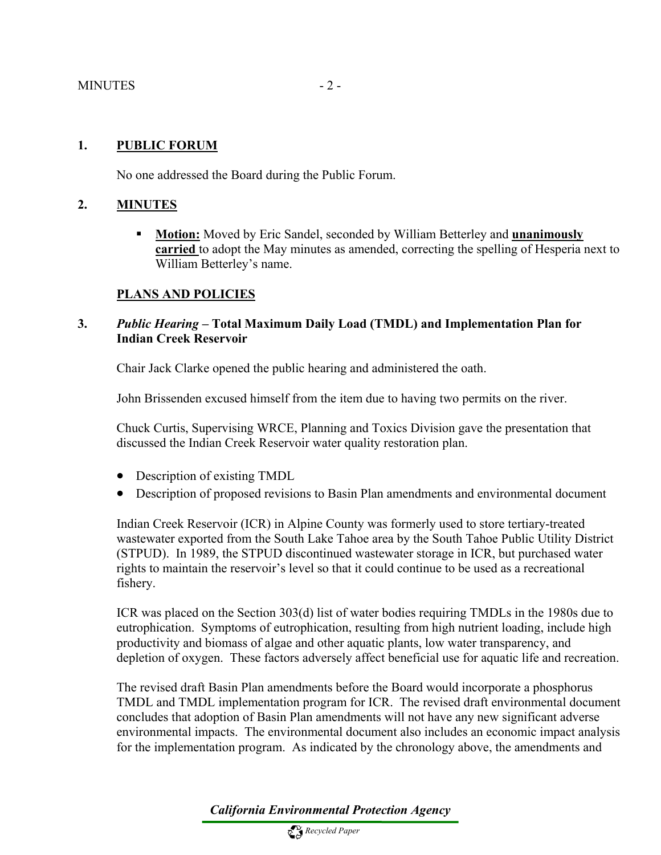#### MINUTES - 2 -

#### **1. PUBLIC FORUM**

No one addressed the Board during the Public Forum.

#### **2. MINUTES**

 **Motion:** Moved by Eric Sandel, seconded by William Betterley and **unanimously carried** to adopt the May minutes as amended, correcting the spelling of Hesperia next to William Betterley's name.

#### **PLANS AND POLICIES**

### **3.** *Public Hearing* **– Total Maximum Daily Load (TMDL) and Implementation Plan for Indian Creek Reservoir**

Chair Jack Clarke opened the public hearing and administered the oath.

John Brissenden excused himself from the item due to having two permits on the river.

Chuck Curtis, Supervising WRCE, Planning and Toxics Division gave the presentation that discussed the Indian Creek Reservoir water quality restoration plan.

- Description of existing TMDL
- Description of proposed revisions to Basin Plan amendments and environmental document

Indian Creek Reservoir (ICR) in Alpine County was formerly used to store tertiary-treated wastewater exported from the South Lake Tahoe area by the South Tahoe Public Utility District (STPUD). In 1989, the STPUD discontinued wastewater storage in ICR, but purchased water rights to maintain the reservoir's level so that it could continue to be used as a recreational fishery.

ICR was placed on the Section 303(d) list of water bodies requiring TMDLs in the 1980s due to eutrophication. Symptoms of eutrophication, resulting from high nutrient loading, include high productivity and biomass of algae and other aquatic plants, low water transparency, and depletion of oxygen. These factors adversely affect beneficial use for aquatic life and recreation.

The revised draft Basin Plan amendments before the Board would incorporate a phosphorus TMDL and TMDL implementation program for ICR. The revised draft environmental document concludes that adoption of Basin Plan amendments will not have any new significant adverse environmental impacts. The environmental document also includes an economic impact analysis for the implementation program. As indicated by the chronology above, the amendments and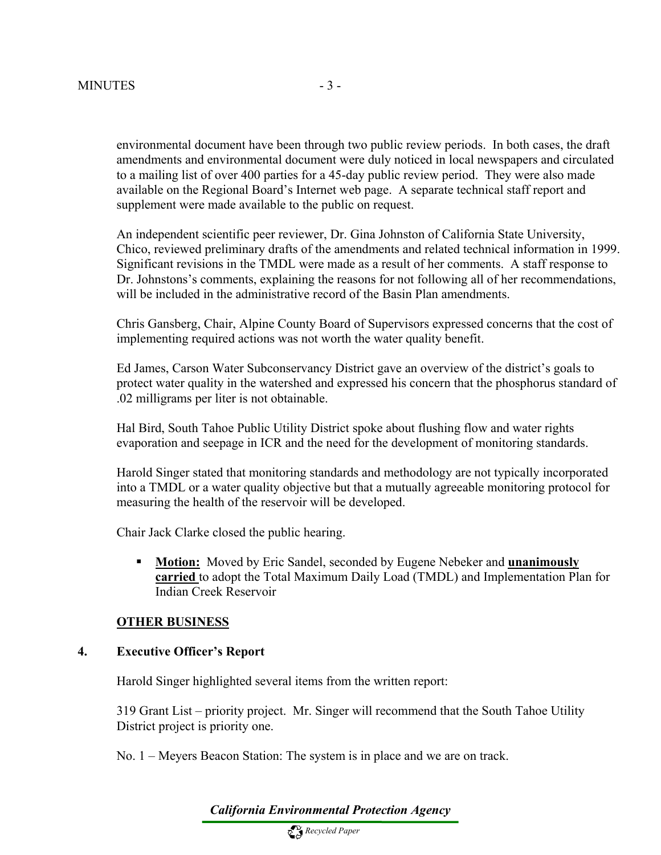environmental document have been through two public review periods. In both cases, the draft amendments and environmental document were duly noticed in local newspapers and circulated to a mailing list of over 400 parties for a 45-day public review period. They were also made available on the Regional Board's Internet web page. A separate technical staff report and supplement were made available to the public on request.

An independent scientific peer reviewer, Dr. Gina Johnston of California State University, Chico, reviewed preliminary drafts of the amendments and related technical information in 1999. Significant revisions in the TMDL were made as a result of her comments. A staff response to Dr. Johnstons's comments, explaining the reasons for not following all of her recommendations, will be included in the administrative record of the Basin Plan amendments.

Chris Gansberg, Chair, Alpine County Board of Supervisors expressed concerns that the cost of implementing required actions was not worth the water quality benefit.

Ed James, Carson Water Subconservancy District gave an overview of the district's goals to protect water quality in the watershed and expressed his concern that the phosphorus standard of .02 milligrams per liter is not obtainable.

Hal Bird, South Tahoe Public Utility District spoke about flushing flow and water rights evaporation and seepage in ICR and the need for the development of monitoring standards.

Harold Singer stated that monitoring standards and methodology are not typically incorporated into a TMDL or a water quality objective but that a mutually agreeable monitoring protocol for measuring the health of the reservoir will be developed.

Chair Jack Clarke closed the public hearing.

 **Motion:** Moved by Eric Sandel, seconded by Eugene Nebeker and **unanimously carried** to adopt the Total Maximum Daily Load (TMDL) and Implementation Plan for Indian Creek Reservoir

#### **OTHER BUSINESS**

#### **4. Executive Officer's Report**

Harold Singer highlighted several items from the written report:

319 Grant List – priority project. Mr. Singer will recommend that the South Tahoe Utility District project is priority one.

No. 1 – Meyers Beacon Station: The system is in place and we are on track.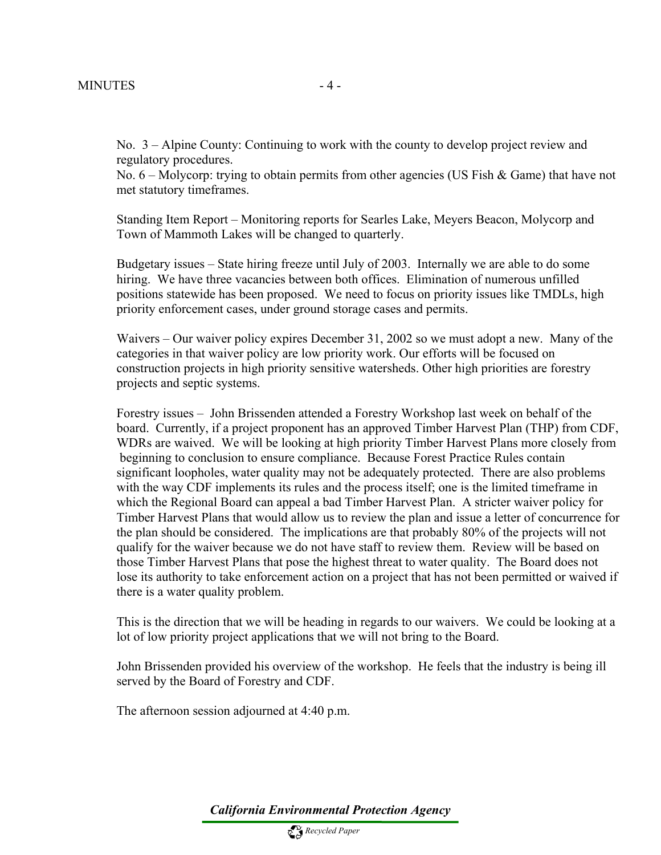No. 3 – Alpine County: Continuing to work with the county to develop project review and regulatory procedures.

No. 6 – Molycorp: trying to obtain permits from other agencies (US Fish & Game) that have not met statutory timeframes.

Standing Item Report – Monitoring reports for Searles Lake, Meyers Beacon, Molycorp and Town of Mammoth Lakes will be changed to quarterly.

Budgetary issues – State hiring freeze until July of 2003. Internally we are able to do some hiring. We have three vacancies between both offices. Elimination of numerous unfilled positions statewide has been proposed. We need to focus on priority issues like TMDLs, high priority enforcement cases, under ground storage cases and permits.

Waivers – Our waiver policy expires December 31, 2002 so we must adopt a new. Many of the categories in that waiver policy are low priority work. Our efforts will be focused on construction projects in high priority sensitive watersheds. Other high priorities are forestry projects and septic systems.

Forestry issues – John Brissenden attended a Forestry Workshop last week on behalf of the board. Currently, if a project proponent has an approved Timber Harvest Plan (THP) from CDF, WDRs are waived. We will be looking at high priority Timber Harvest Plans more closely from beginning to conclusion to ensure compliance. Because Forest Practice Rules contain significant loopholes, water quality may not be adequately protected. There are also problems with the way CDF implements its rules and the process itself; one is the limited timeframe in which the Regional Board can appeal a bad Timber Harvest Plan. A stricter waiver policy for Timber Harvest Plans that would allow us to review the plan and issue a letter of concurrence for the plan should be considered. The implications are that probably 80% of the projects will not qualify for the waiver because we do not have staff to review them. Review will be based on those Timber Harvest Plans that pose the highest threat to water quality. The Board does not lose its authority to take enforcement action on a project that has not been permitted or waived if there is a water quality problem.

This is the direction that we will be heading in regards to our waivers. We could be looking at a lot of low priority project applications that we will not bring to the Board.

John Brissenden provided his overview of the workshop. He feels that the industry is being ill served by the Board of Forestry and CDF.

The afternoon session adjourned at 4:40 p.m.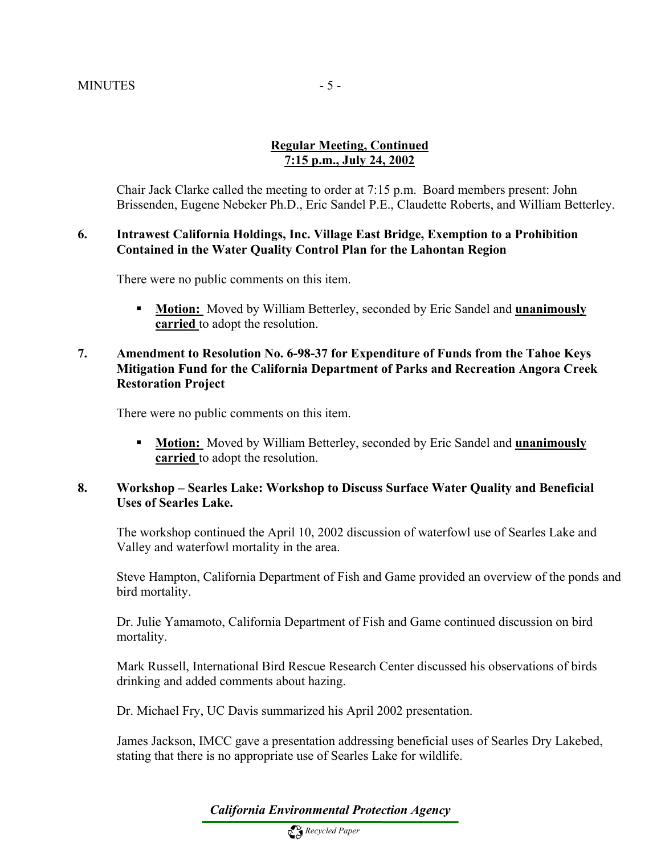# **Regular Meeting, Continued 7:15 p.m., July 24, 2002**

Chair Jack Clarke called the meeting to order at 7:15 p.m. Board members present: John Brissenden, Eugene Nebeker Ph.D., Eric Sandel P.E., Claudette Roberts, and William Betterley.

#### **6. Intrawest California Holdings, Inc. Village East Bridge, Exemption to a Prohibition Contained in the Water Quality Control Plan for the Lahontan Region**

There were no public comments on this item.

 **Motion:** Moved by William Betterley, seconded by Eric Sandel and **unanimously carried** to adopt the resolution.

#### **7. Amendment to Resolution No. 6-98-37 for Expenditure of Funds from the Tahoe Keys Mitigation Fund for the California Department of Parks and Recreation Angora Creek Restoration Project**

There were no public comments on this item.

 **Motion:** Moved by William Betterley, seconded by Eric Sandel and **unanimously carried** to adopt the resolution.

#### **8. Workshop – Searles Lake: Workshop to Discuss Surface Water Quality and Beneficial Uses of Searles Lake.**

The workshop continued the April 10, 2002 discussion of waterfowl use of Searles Lake and Valley and waterfowl mortality in the area.

Steve Hampton, California Department of Fish and Game provided an overview of the ponds and bird mortality.

Dr. Julie Yamamoto, California Department of Fish and Game continued discussion on bird mortality.

Mark Russell, International Bird Rescue Research Center discussed his observations of birds drinking and added comments about hazing.

Dr. Michael Fry, UC Davis summarized his April 2002 presentation.

James Jackson, IMCC gave a presentation addressing beneficial uses of Searles Dry Lakebed, stating that there is no appropriate use of Searles Lake for wildlife.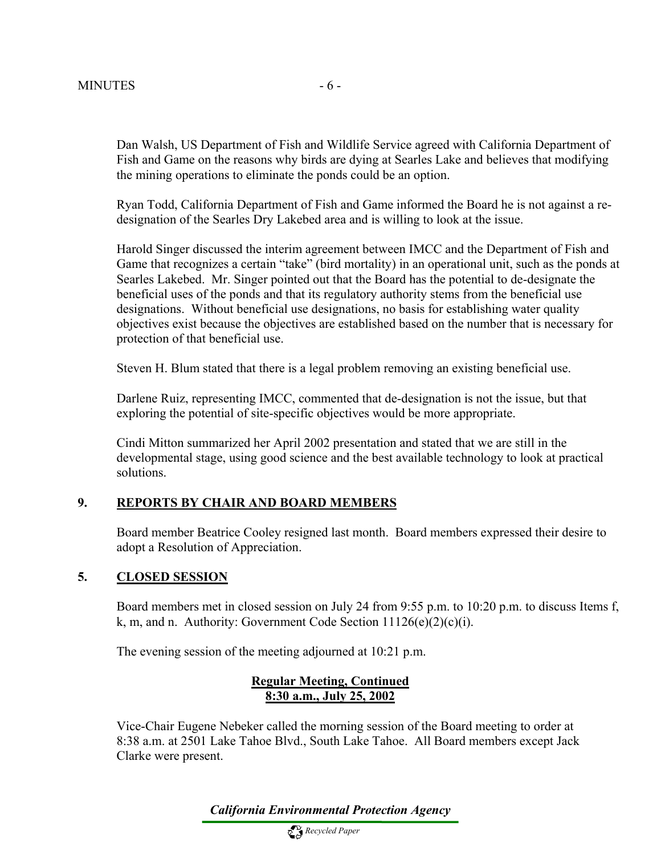Dan Walsh, US Department of Fish and Wildlife Service agreed with California Department of Fish and Game on the reasons why birds are dying at Searles Lake and believes that modifying the mining operations to eliminate the ponds could be an option.

Ryan Todd, California Department of Fish and Game informed the Board he is not against a redesignation of the Searles Dry Lakebed area and is willing to look at the issue.

Harold Singer discussed the interim agreement between IMCC and the Department of Fish and Game that recognizes a certain "take" (bird mortality) in an operational unit, such as the ponds at Searles Lakebed. Mr. Singer pointed out that the Board has the potential to de-designate the beneficial uses of the ponds and that its regulatory authority stems from the beneficial use designations. Without beneficial use designations, no basis for establishing water quality objectives exist because the objectives are established based on the number that is necessary for protection of that beneficial use.

Steven H. Blum stated that there is a legal problem removing an existing beneficial use.

Darlene Ruiz, representing IMCC, commented that de-designation is not the issue, but that exploring the potential of site-specific objectives would be more appropriate.

Cindi Mitton summarized her April 2002 presentation and stated that we are still in the developmental stage, using good science and the best available technology to look at practical solutions.

### **9. REPORTS BY CHAIR AND BOARD MEMBERS**

Board member Beatrice Cooley resigned last month. Board members expressed their desire to adopt a Resolution of Appreciation.

#### **5. CLOSED SESSION**

Board members met in closed session on July 24 from 9:55 p.m. to 10:20 p.m. to discuss Items f, k, m, and n. Authority: Government Code Section  $11126(e)(2)(c)(i)$ .

The evening session of the meeting adjourned at 10:21 p.m.

#### **Regular Meeting, Continued 8:30 a.m., July 25, 2002**

Vice-Chair Eugene Nebeker called the morning session of the Board meeting to order at 8:38 a.m. at 2501 Lake Tahoe Blvd., South Lake Tahoe. All Board members except Jack Clarke were present.